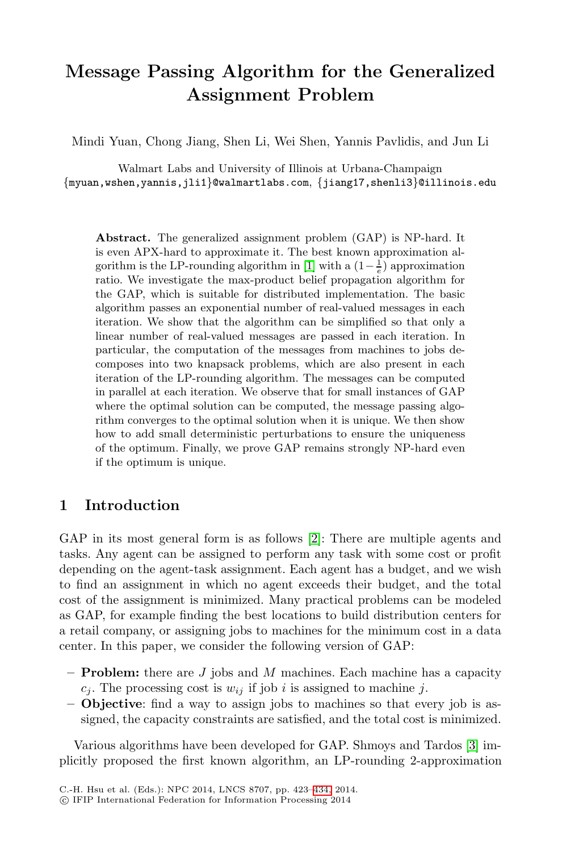# **Message Passing Algorithm for the Generalized Assignment Problem**

Mindi Yuan, Chong Jia[ng](#page-10-0), Shen Li, Wei Shen, Yannis Pavlidis, and Jun Li

Walmart Labs and University of Illinois at Urbana-Champaign {myuan,wshen,yannis,jli1}@walmartlabs.com, {jiang17,shenli3}@illinois.edu

**Abstract.** The generalized assignment problem (GAP) is NP-hard. It is even APX-hard to approximate it. The best known approximation algorithm is the LP-rounding algorithm in [1] with a  $(1-\frac{1}{e})$  approximation ratio. We investigate the max-product belief propagation algorithm for the GAP, which is suitable for distributed implementation. The basic algorithm passes an exponential number of real-valued messages in each iteration. We show that the algorithm can be simplified so that only a linear number of real-valued messages are passed in each iteration. In particular, the computation of the messages from machines to jobs decomposes into two knapsack problems, which are also present in each iteration of the LP-rounding algorithm. The messages can be computed in parallel at each iteration. We observe that for small instances of GAP where the optimal solution can be computed, the message passing algorithm converges to the [op](#page-10-1)timal solution when it is unique. We then show how to add small deterministic perturbations to ensure the uniqueness of the optimum. Finally, we prove GAP remains strongly NP-hard even if the optimum is unique.

### **1 Introduction**

GAP in its most general form is as follows [2]: There are multiple agents and tasks. Any agent can be assigned to perform any task with some cost or profit depending on the agent-task assignment. Each agent has a budget, and we wish to find an assignment in which no agent exceeds their budget, and the total cost of the assignment is minimized. Many practical problems can be modeled as GAP, for example finding the best locations to build distribution centers for a retail company, or assigning jobs to machines for the [m](#page-10-2)inimum cost in a data center. In this paper, we consider the following version of GAP:

- **Problem:** there are J [jobs](#page-11-0) and M machines. Each machine has a capacity  $c_i$ . The processing cost is  $w_{ij}$  if job i is assigned to machine j.
- **Objective**: find a way to assign jobs to machines so that every job is assigned, the capacity constraints are satisfied, and the total cost is minimized.

Various algorithms have been developed for GAP. Shmoys and Tardos [3] implicitly proposed the first known algorithm, an LP-rounding 2-approximation

C.-H. Hsu et al. (Eds.): NPC 2014, LNCS 8707, pp. 423–434, 2014.

<sup>-</sup>c IFIP International Federation for Information Processing 2014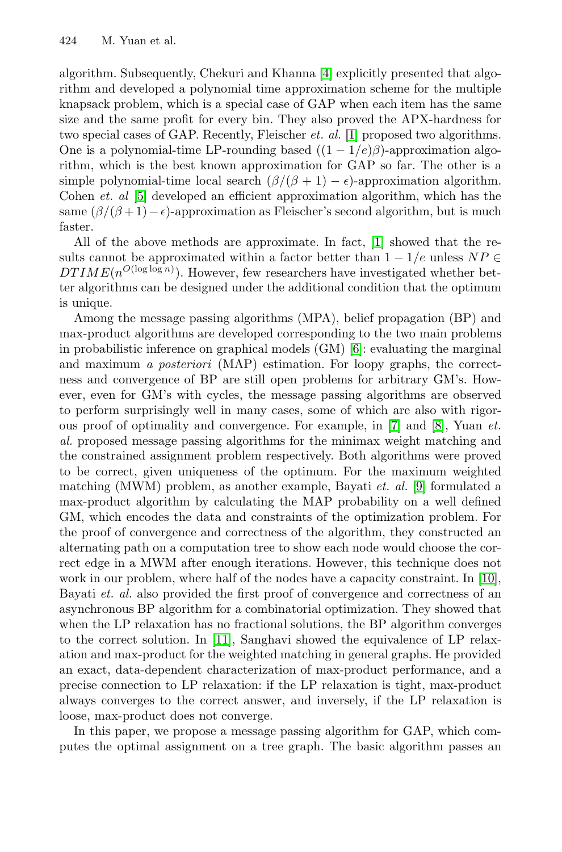algorithm. Subsequently, Chekuri and Khanna [4] explicitly presented that algorithm and developed a polynomial time approximation scheme for the multiple knapsack problem, which is a special case of GAP when each item has the same size and the same profit for every bin. [T](#page-10-0)hey also proved the APX-hardness for two special cases of GAP. Recently, Fleischer *et. al.* [1] proposed two algorithms. One is a polynomial-time LP-rounding based  $((1 - 1/e)\beta)$ -approximation algorithm, which is the best known approximation for GAP so far. The other is a simple polynomial-time local search  $(\beta/(\beta + 1) - \epsilon)$ -approximation algorithm. Cohen *et. al* [5] developed an efficient approximation algorithm, which has the same  $(\beta/(\beta+1)-\epsilon)$ -approximation as Fleischer's second algorithm, but is much faster.

All of the above methods are [app](#page-11-1)roximate. In fact, [1] showed that the results cannot be approximated within a factor better than  $1 - 1/e$  unless  $NP \in$  $DTIME(n^{O(\log \log n)})$ . However, few researchers have investigated whether better algorithms can be designed under the additional condition that the optimum is unique.

Among the message passing algorithm[s](#page-11-2) [\(](#page-11-2)MPA[\),](#page-11-3) belief propagation (BP) and max-product algorithms are developed corresponding to the two main problems in probabilistic inference on graphical models (GM) [6]: evaluating the marginal and maximum *a posteriori* (MAP) estimatio[n.](#page-11-4) For loopy graphs, the correctness and convergence of BP are still open problems for arbitrary GM's. However, even for GM's with cycles, the message passing algorithms are observed to perform surprisingly well in many cases, some of which are also with rigorous proof of optimality and convergence. For example, in [7] and [8], Yuan *et. al.* proposed message passing algorithms for the minimax weight matching and the constrained assignment problem respectively. Both al[gor](#page-11-5)ithms were proved to be correct, given uniqueness of the optimum. For the maximum weighted matching (MWM) problem, as another example, Bayati *et. al.* [9] formulated a max-product algorithm by calculating the MAP probability on a well defined GM, whic[h e](#page-11-6)ncodes the data and constraints of the optimization problem. For the proof of convergence and correctness of the algorithm, they constructed an alternating path on a computation tree to show each node would choose the correct edge in a MWM after enough iterations. However, this technique does not work in our problem, where half of the nodes have a capacity constraint. In [10], Bayati *et. al.* also provided the first proof of convergence and correctness of an asynchronous BP algorithm for a combinatorial optimization. They showed that when the LP relaxation has no fractional solutions, the BP algorithm converges to the correct solution. In [11], Sanghavi showed the equivalence of LP relaxation and max-product for the weighted matching in general graphs. He provided an exact, data-dependent characterization of max-product performance, and a precise connection to LP relaxation: if the LP relaxation is tight, max-product always converges to the correct answer, and inversely, if the LP relaxation is loose, max-product does not converge.

In this paper, we propose a message passing algorithm for GAP, which computes the optimal assignment on a tree graph. The basic algorithm passes an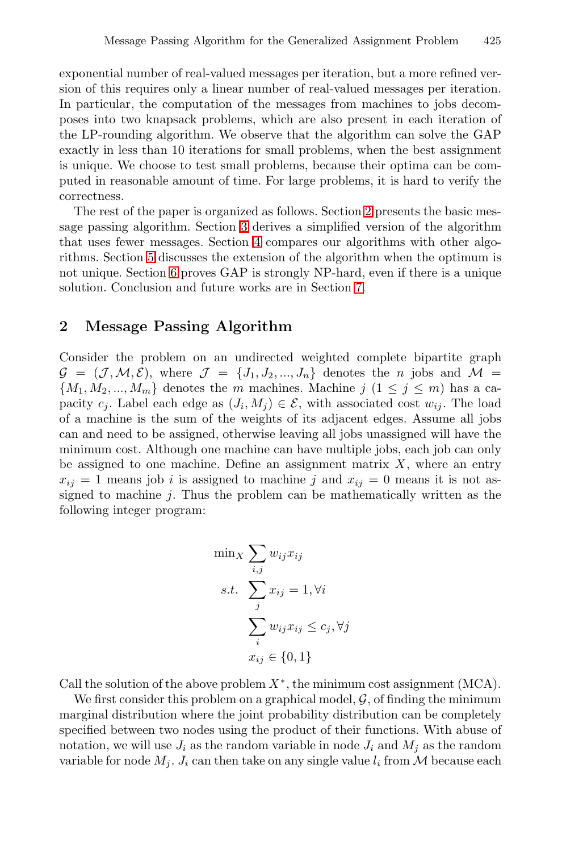<span id="page-2-0"></span>exponential number of real-valued messages per iteration, but a more refined version of this requires only a linear nu[mb](#page-2-0)er of real-valued messages per iteration. In particular, [th](#page-4-0)e computation of the messages from machines to jobs decomposes into two k[na](#page-6-0)psack problems, which are also present in each iteration of the LP-rounding algorithm. We observe that the algorithm can solve the GAP e[xa](#page-9-0)ctly in less than 10 iterations for small problems, when the best assignment is unique. We choose to test small [pr](#page-10-3)oblems, because their optima can be computed in reasonable amount of time. For large problems, it is hard to verify the correctness.

The rest of the paper is organized as follows. Section 2 presents the basic message passing algorithm. Section 3 derives a simplified version of the algorithm that uses fewer messages. Section 4 compares our algorithms with other algorithms. Section 5 discusses the extension of the algorithm when the optimum is not unique. Section 6 proves GAP is strongly NP-hard, even if there is a unique solution. Conclusion and future works are in Section 7.

### **2 Message Passing Algorithm**

Consider the problem on an undirected weighted complete bipartite graph  $\mathcal{G} = (\mathcal{J}, \mathcal{M}, \mathcal{E})$ , where  $\mathcal{J} = \{J_1, J_2, ..., J_n\}$  denotes the *n* jobs and  $\mathcal{M} =$  $\{M_1, M_2, ..., M_m\}$  denotes the m machines. Machine  $j$   $(1 \leq j \leq m)$  has a capacity  $c_j$ . Label each edge as  $(J_i, M_j) \in \mathcal{E}$ , with associated cost  $w_{ij}$ . The load of a machine is the sum of the weights of its adjacent edges. Assume all jobs can and need to be assigned, otherwise leaving all jobs unassigned will have the minimum cost. Although one machine can have multiple jobs, each job can only be assigned to one machine. Define an assignment matrix  $X$ , where an entry  $x_{ij} = 1$  means job i is assigned to machine j and  $x_{ij} = 0$  means it is not assigned to machine  $j$ . Thus the problem can be mathematically written as the following integer program:

$$
\min_{X} \sum_{i,j} w_{ij} x_{ij}
$$
\n
$$
s.t. \sum_{j} x_{ij} = 1, \forall i
$$
\n
$$
\sum_{i} w_{ij} x_{ij} \le c_j, \forall j
$$
\n
$$
x_{ij} \in \{0, 1\}
$$

Call the solution of the above problem  $X^*$ , the minimum cost assignment (MCA).

We first consider this problem on a graphical model,  $\mathcal{G}$ , of finding the minimum marginal distribution where the joint probability distribution can be completely specified between two nodes using the product of their functions. With abuse of notation, we will use  $J_i$  as the random variable in node  $J_i$  and  $M_j$  as the random variable for node  $M_i$ .  $J_i$  can then take on any single value  $l_i$  from M because each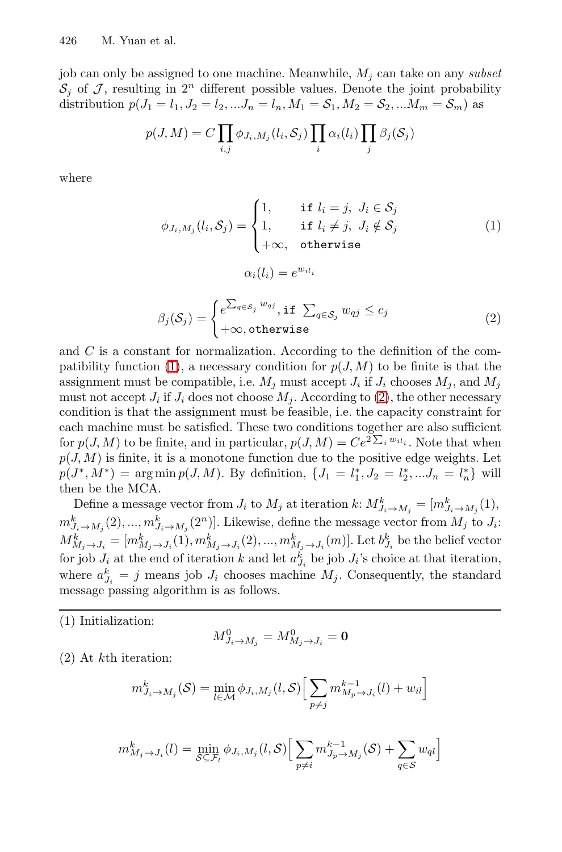<span id="page-3-0"></span>job can only be assigned to one machine. Meanwhile, M*<sup>j</sup>* can take on any *subset*  $S_i$  of  $J$ , resulting in  $2^n$  different possible values. Denote the joint probability distribution  $p(J_1 = l_1, J_2 = l_2, ... J_n = l_n, M_1 = S_1, M_2 = S_2, ... M_m = S_m)$  as

$$
p(J, M) = C \prod_{i,j} \phi_{J_i, M_j}(l_i, S_j) \prod_i \alpha_i(l_i) \prod_j \beta_j(S_j)
$$

where

$$
\phi_{J_i,M_j}(l_i, S_j) = \begin{cases}\n1, & \text{if } l_i = j, J_i \in S_j \\
1, & \text{if } l_i \neq j, J_i \notin S_j \\
+\infty, & \text{otherwise}\n\end{cases}
$$
\n(1)\n
$$
\alpha_i(l_i) = e^{w_{il_i}}
$$

$$
\beta_j(S_j) = \begin{cases} e^{\sum_{q \in S_j} w_{qj}}, \text{if } \sum_{q \in S_j} w_{qj} \le c_j \\ +\infty, \text{otherwise} \end{cases} \tag{2}
$$

and C is a constant for normalization. According to the definition of the compatibility function (1), a necessary condition for  $p(J, M)$  to be finite is that the assignment must be compatible, i.e.  $M_j$  must accept  $J_i$  if  $J_i$  chooses  $M_j$ , and  $M_j$ must not accept  $J_i$  if  $J_i$  does not choose  $M_j$ . According to (2), the other necessary condition is that the assignment must be feasible, i.e. the capacity constraint for each machine must be satisfied. These two conditions together are also sufficient for  $p(J, M)$  to be finite, and in particular,  $p(J, M) = Ce^{2\sum_i w_i}i$ . Note that when  $p(J, M)$  is finite, it is a monotone function due to the positive edge weights. Let  $p(J^*, M^*) = \arg \min p(J, M)$ . By definition,  $\{J_1 = l_1^*, J_2 = l_2^*, ... J_n = l_n^*\}$  will then be the MCA.

Define a message vector from  $J_i$  to  $M_j$  at iteration  $k: M_{J_i \to M_j}^k = [m_{J_i \to M_j}^k(1),$  $m_{J_i \to M_j}^k(2), ..., m_{J_i \to M_j}^k(2^n)$ . Likewise, define the message vector from  $M_j$  to  $J_i$ :  $M^k_{M_j \to J_i} = [m^k_{M_j \to J_i}(1), m^k_{M_j \to J_i}(2), ..., m^k_{M_j \to J_i}(m)]$ . Let  $b^k_{J_i}$  be the belief vector for job  $J_i$  at the end of iteration k and let  $a_{J_i}^k$  be job  $J_i$ 's choice at that iteration, where  $a_{J_i}^k = j$  means job  $J_i$  chooses machine  $M_j$ . Consequently, the standard message passing algorithm is as follows.

(1) Initialization:

$$
M_{J_i\rightarrow M_j}^0=M_{M_j\rightarrow J_i}^0=\mathbf{0}
$$

(2) At kth iteration:

$$
m^k_{J_i \to M_j}(\mathcal{S}) = \min_{l \in \mathcal{M}} \phi_{J_i, M_j}(l, \mathcal{S}) \Big[ \sum_{p \neq j} m^{k-1}_{M_p \to J_i}(l) + w_{il} \Big]
$$

$$
m_{M_j \to J_i}^k(l) = \min_{\mathcal{S} \subseteq \mathcal{F}_l} \phi_{J_i, M_j}(l, \mathcal{S}) \Big[ \sum_{p \neq i} m_{J_p \to M_j}^{k-1}(\mathcal{S}) + \sum_{q \in \mathcal{S}} w_{ql} \Big]
$$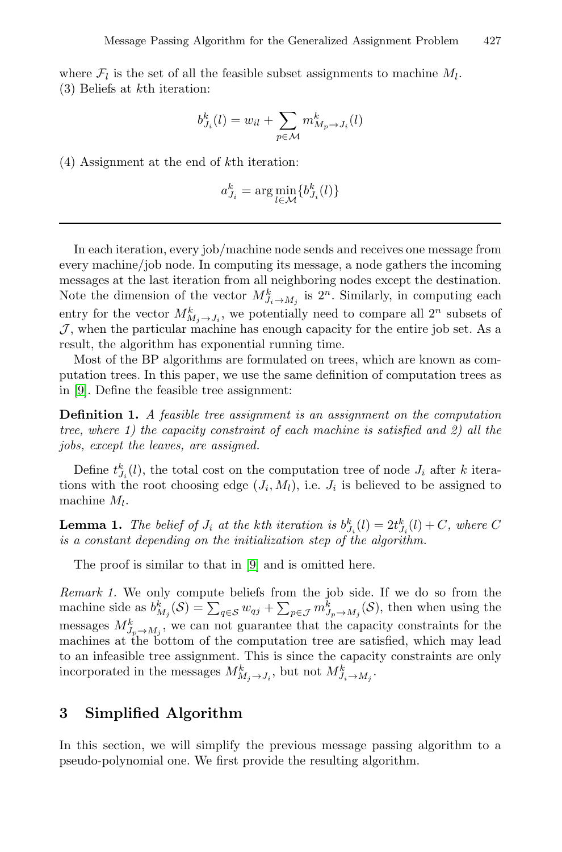where  $\mathcal{F}_l$  is the set of all the feasible subset assignments to machine  $M_l$ . (3) Beliefs at kth iteration:

$$
b_{J_i}^k(l) = w_{il} + \sum_{p \in \mathcal{M}} m_{M_p \to J_i}^k(l)
$$

(4) Assignment at the end of kth iteration:

$$
a_{J_i}^k = \arg\min_{l \in \mathcal{M}} \{b_{J_i}^k(l)\}
$$

In each iteration, every job/machine node sends and receives one message from every machine/job node. In computing its message, a node gathers the incoming messages at the last iteration from all neighboring nodes except the destination. Note the dimension of the vector  $M^k_{J_i \to M_j}$  is  $2^n$ . Similarly, in computing each entry for the vector  $M_{M_j \to J_i}^k$ , we potentially need to compare all  $2^n$  subsets of  $J$ , when the particular machine has enough capacity for the entire job set. As a result, the algorithm has exponential running time.

Most of the BP algorithms are formulated on trees, which are known as computation trees. In this paper, we use the same definition of computation trees as in [9]. Define the feasible tree assignment:

**Definition 1.** *A feasible tree assignment is an assignment on the computation tree, where 1) the capacity constraint of each machine is satisfied and 2) all the jobs, except the [lea](#page-11-4)ves, are assigned.*

<span id="page-4-0"></span>Define  $t_{J_i}^k(l)$ , the total cost on the computation tree of node  $J_i$  after k iterations with the root choosing edge  $(J_i, M_l)$ , i.e.  $J_i$  is believed to be assigned to machine M*l*.

**Lemma 1.** *The belief of*  $J_i$  *at the kth iteration is*  $b_{J_i}^k(l) = 2t_{J_i}^k(l) + C$ *, where* C *is a constant depending on the initialization step of the algorithm.*

The proof is similar to that in [9] and is omitted here.

*Remark 1.* We only compute beliefs from the job side. If we do so from the machine side as  $b_{M_j}^k(\mathcal{S}) = \sum_{q \in \mathcal{S}} w_{qj} + \sum_{p \in \mathcal{J}} m_{J_p \to M_j}^k(\mathcal{S})$ , then when using the messages  $M_{J_p \to M_j}^k$ , we can not guarantee that the capacity constraints for the machines at the bottom of the computation tree are satisfied, which may lead to an infeasible tree assignment. This is since the capacity constraints are only incorporated in the messages  $M_{M_j \to J_i}^k$ , but not  $M_{J_i \to M_j}^k$ .

### **3 Simplified Algorithm**

In this section, we will simplify the previous message passing algorithm to a pseudo-polynomial one. We first provide the resulting algorithm.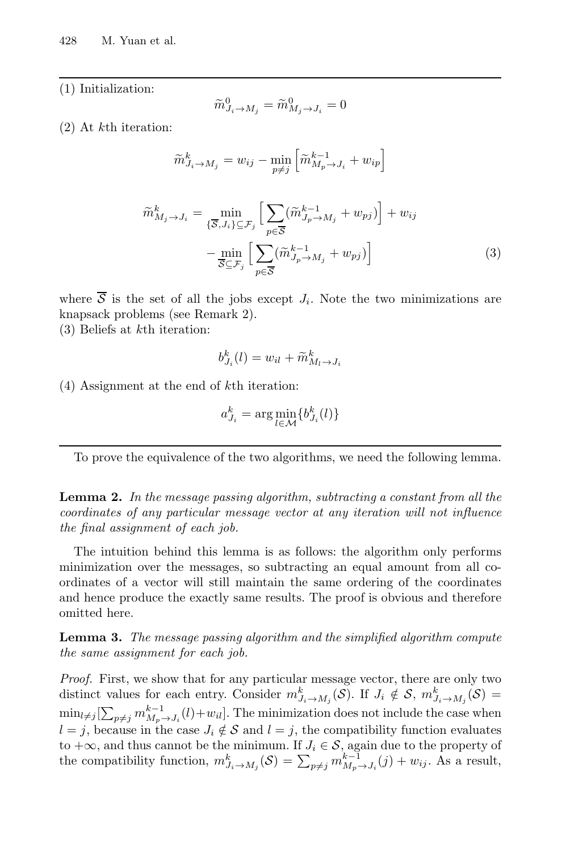(1) Initialization:

<span id="page-5-0"></span>
$$
\widetilde{m}_{J_i \to M_j}^0 = \widetilde{m}_{M_j \to J_i}^0 = 0
$$

(2) At kth iteration:

$$
\widetilde{m}_{J_i \to M_j}^k = w_{ij} - \min_{p \neq j} \left[ \widetilde{m}_{M_p \to J_i}^{k-1} + w_{ip} \right]
$$

$$
\widetilde{m}_{M_j \to J_i}^k = \min_{\{\overline{S}, J_i\} \subseteq \mathcal{F}_j} \left[ \sum_{p \in \overline{S}} (\widetilde{m}_{J_p \to M_j}^{k-1} + w_{pj}) \right] + w_{ij}
$$

$$
- \min_{\overline{S} \subseteq \mathcal{F}_j} \left[ \sum_{p \in \overline{S}} (\widetilde{m}_{J_p \to M_j}^{k-1} + w_{pj}) \right]
$$
(3)

where  $\overline{S}$  is the set of all the jobs except  $J_i$ . Note the two minimizations are knapsack problems (see Remark 2).

(3) Beliefs at kth iteration:

$$
b_{J_i}^k(l) = w_{il} + \widetilde{m}_{M_l \to J_i}^k
$$

(4) Assignment at the end of kth iteration:

$$
a_{J_i}^k = \arg\min_{l \in \mathcal{M}} \{b_{J_i}^k(l)\}
$$

To prove the equivalence of the two algorithms, we need the following lemma.

**Lemma 2.** *In the message passing algorithm, subtracting a constant from all the coordinates of any particular message vector at any iteration will not influence the final assignment of each job.*

The intuition behind this lemma is as follows: the algorithm only performs minimization over the messages, so subtracting an equal amount from all coordinates of a vector will still maintain the same ordering of the coordinates and hence produce the exactly same results. The proof is obvious and therefore omitted here.

**Lemma 3.** *The message passing algorithm and the simplified algorithm compute the same assignment for each job.*

*Proof.* First, we show that for any particular message vector, there are only two distinct values for each entry. Consider  $m_{J_i\to M_j}^k(\mathcal{S})$ . If  $J_i \notin \mathcal{S}$ ,  $m_{J_i\to M_j}^k(\mathcal{S})$  =  $\min_{l \neq j} \left[ \sum_{p \neq j} m_{M_p \to J_i}^{k-1}(l) + w_{il} \right]$ . The minimization does not include the case when  $l = j$ , because in the case  $J_i \notin \mathcal{S}$  and  $l = j$ , the compatibility function evaluates to  $+\infty$ , and thus cannot be the minimum. If  $J_i \in \mathcal{S}$ , again due to the property of the compatibility function,  $m_{J_i \to M_j}^k(\mathcal{S}) = \sum_{p \neq j} m_{M_p \to J_i}^{k-1}(j) + w_{ij}$ . As a result,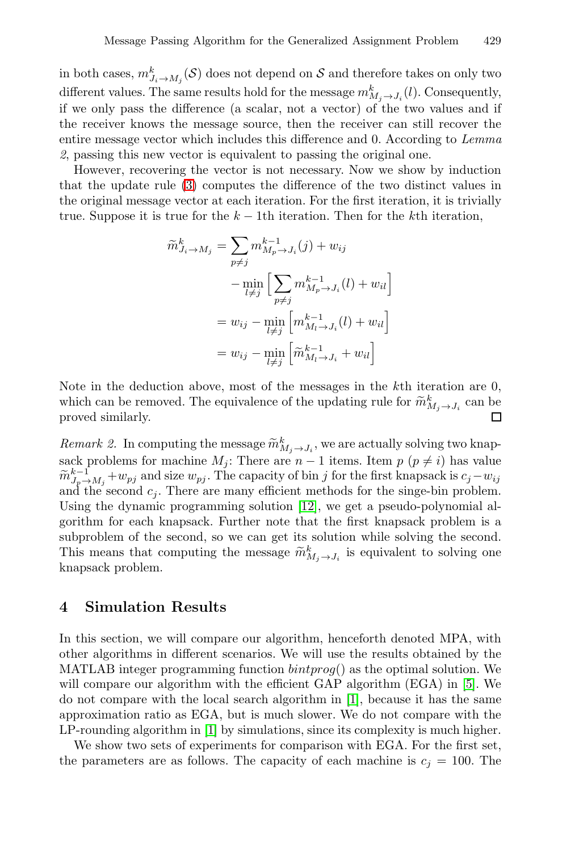in b[oth](#page-5-0) cases,  $m_{J_i \to M_j}^k(\mathcal{S})$  does not depend on  $\mathcal S$  and therefore takes on only two different values. The same results hold for the message  $m_{M_j \to J_i}^k(l)$ . Consequently, if we only pass the difference (a scalar, not a vector) of the two values and if the receiver knows the message source, then the receiver can still recover the entire message vector which includes this difference and 0. According to *Lemma 2*, passing this new vector is equivalent to passing the original one.

However, recovering the vector is not necessary. Now we show by induction that the update rule (3) computes the difference of the two distinct values in the original message vector at each iteration. For the first iteration, it is trivially true. Suppose it is true for the  $k - 1$ th iteration. Then for the k<sup>th</sup> iteration,

$$
\widetilde{m}_{J_i \to M_j}^k = \sum_{p \neq j} m_{M_p \to J_i}^{k-1}(j) + w_{ij}
$$

$$
- \min_{l \neq j} \left[ \sum_{p \neq j} m_{M_p \to J_i}^{k-1}(l) + w_{il} \right]
$$

$$
= w_{ij} - \min_{l \neq j} \left[ m_{M_l \to J_i}^{k-1}(l) + w_{il} \right]
$$

$$
= w_{ij} - \min_{l \neq j} \left[ \widetilde{m}_{M_l \to J_i}^{k-1} + w_{il} \right]
$$

<span id="page-6-0"></span>Note in the deduction a[bove](#page-11-7), most of the messages in the kth iteration are 0, which can be removed. The equivalence of the updating rule for  $\widetilde{m}_{M_j \to J_i}^k$  can be proved similarly proved similarly.

*Remark 2.* In computing the message  $\widetilde{m}_{M_j \to J_i}^k$ , we are actually solving two knap-<br>case problems for mashing  $M$ . There are no 1 items. Item  $n(n \neq i)$  has ralus sack problems for machine  $M_j$ : There are  $n-1$  items. Item  $p$  ( $p \neq i$ ) has value  $\widetilde{m}_{J_p \to M_j}^{k-1} + w_{pj}$  and size  $w_{pj}$ . The capacity of bin j for the first knapsack is  $c_j - w_{ij}$ <br>and the second  $c_j$ . There are many efficient methods for the singe-bin problem and the second  $c_j$ . There are many efficient methods for the singe-bin problem. Using the dynamic programming solution [12], we get a pseudo-polynomial algorithm for each knapsack. Further note that the first knapsack problem is a subproblem of the second, so we can get its solution while solving the second. This means that computing the message  $\widetilde{m}_{M_j \to J_i}^k$  is equivalent to solving one knapsack problem knapsack problem.

#### **4 Si[mu](#page-10-0)lation Results**

In this section, we will compare our algorithm, henceforth denoted MPA, with other algorithms in different scenarios. We will use the results obtained by the MATLAB integer programming function bintprog() as the optimal solution. We will compare our algorithm with the efficient GAP algorithm (EGA) in [5]. We do not compare with the local search algorithm in [1], because it has the same approximation ratio as EGA, but is much slower. We do not compare with the LP-rounding algorithm in [1] by simulations, since its complexity is much higher.

We show two sets of experiments for comparison with EGA. For the first set, the parameters are as follows. The capacity of each machine is  $c_j = 100$ . The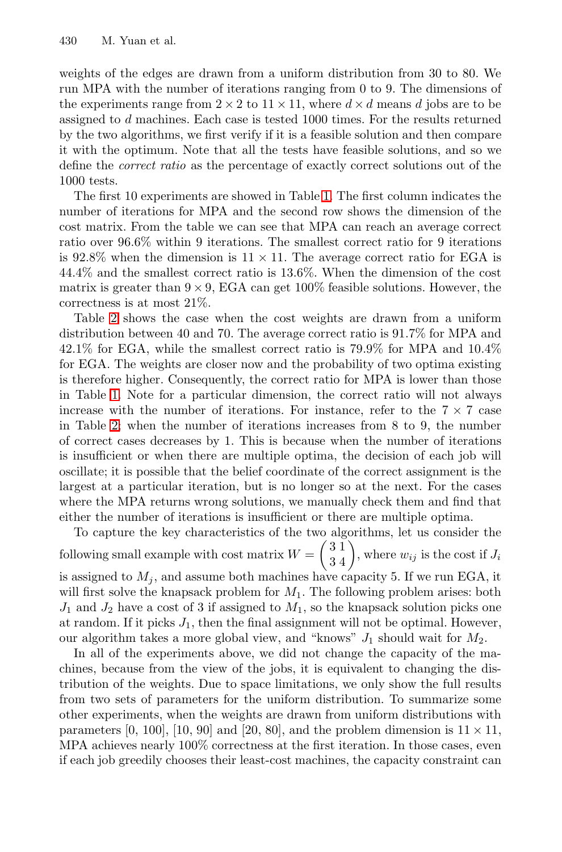weights of the edges are dra[wn](#page-8-0) from a uniform distribution from 30 to 80. We run MPA with the number of iterations ranging from 0 to 9. The dimensions of the experiments range from  $2 \times 2$  to  $11 \times 11$ , where  $d \times d$  means d jobs are to be assigned to d machines. Each case is tested 1000 times. For the results returned by the two algorithms, we first verify if it is a feasible solution and then compare it with the optimum. Note that all the tests have feasible solutions, and so we define the *correct ratio* as the percentage of exactly correct solutions out of the 1000 tests.

The first 10 experiments are showed in Table 1. The first column indicates the number of iterations for MPA and the second row shows the dimension of the cost matrix. From the table we can see that MPA can reach an average correct ratio over 96.6% within 9 iterations. The smallest correct ratio for 9 iterations is 92.8% when the dimension is  $11 \times 11$ . The average correct ratio for EGA is 44.4% and the smallest correct ratio is 13.6%. When the dimension of the cost matrix is greater than  $9 \times 9$ , EGA can get 100% feasible solutions. However, the correctness is at most 21%.

Table 2 shows the case when the cost weights are drawn from a uniform distribution between 40 and 70. The average correct ratio is 91.7% for MPA and 42.1% for EGA, while the smallest correct ratio is 79.9% for MPA and 10.4% for EGA. The weights are closer now and the probability of two optima existing is therefore higher. Consequently, the correct ratio for MPA is lower than those in Table 1. Note for a particular dimension, the correct ratio will not always increase with the number of iterations. For instance, refer to the  $7 \times 7$  case in Table 2; when the number of iterations increases from 8 to 9, the number of correct cases decreases by 1. This is because when the number of iterations is insufficient or when there are multiple optima, the decision of each job will oscillate; it is possible that the belief coordinate of the correct assignment is the largest at a particular iteration, but is no longer so at the next. For the cases where the MPA returns wrong solutions, we manually check them and find that either the number of iterations is insufficient or there are multiple optima.

To capture the key characteristics of the two algorithms, let us consider the following small example with cost matrix  $W = \begin{pmatrix} 3 & 1 \\ 3 & 4 \end{pmatrix}$ , where  $w_{ij}$  is the cost if  $J_i$ is assigned to  $M_i$ , and assume both machines have capacity 5. If we run EGA, it will first solve the knapsack problem for  $M_1$ . The following problem arises: both  $J_1$  and  $J_2$  have a cost of 3 if assigned to  $M_1$ , so the knapsack solution picks one at random. If it picks  $J_1$ , then the final assignment will not be optimal. However, our algorithm takes a more global view, and "knows"  $J_1$  should wait for  $M_2$ .

In all of the experiments above, we did not change the capacity of the machines, because from the view of the jobs, it is equivalent to changing the distribution of the weights. Due to space limitations, we only show the full results from two sets of parameters for the uniform distribution. To summarize some other experiments, when the weights are drawn from uniform distributions with parameters [0, 100], [10, 90] and [20, 80], and the problem dimension is  $11 \times 11$ , MPA achieves nearly 100% correctness at the first iteration. In those cases, even if each job greedily chooses their least-cost machines, the capacity constraint can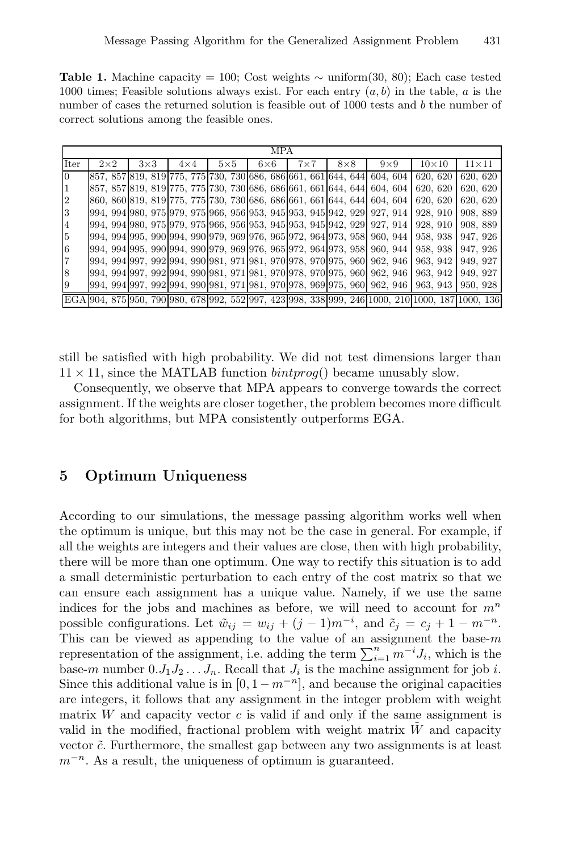<span id="page-8-0"></span>**Table 1.** Machine capacity = 100; Cost weights  $\sim$  uniform(30, 80); Each case tested 1000 times; Feasible solutions always exist. For each entry (*a, b*) in the table, *a* is the number of cases the returned solution is feasible out of 1000 tests and *b* the number of correct solutions among the feasible ones.

| MPA            |             |                                                                |            |            |             |            |            |                                                                                                  |              |              |
|----------------|-------------|----------------------------------------------------------------|------------|------------|-------------|------------|------------|--------------------------------------------------------------------------------------------------|--------------|--------------|
| Iter           | $2\times 2$ | $3\times3$                                                     | $4\times4$ | $5\times5$ | $6\times 6$ | $7\times7$ | $8\times8$ | $9\times9$                                                                                       | $10\times10$ | $11\times11$ |
| $\Omega$       |             |                                                                |            |            |             |            |            | 857, 857 819, 819 775, 775 730, 730 686, 686 661, 661 644, 644 604, 604                          | 620, 620     | 620, 620     |
|                |             | 857, 857 819, 819 775, 775 730, 730 686, 686 661, 661 644, 644 |            |            |             |            |            | 604, 604                                                                                         | 620, 620     | 620, 620     |
|                |             |                                                                |            |            |             |            |            | 860, 860 819, 819 775, 775 730, 730 686, 686 661, 661 644, 644 604, 604                          | 620, 620     | 620, 620     |
|                |             |                                                                |            |            |             |            |            | 994, 994 980, 975 979, 975 966, 956 953, 945 953, 945 942, 929 927, 914                          | 928, 910     | 908, 889     |
|                |             |                                                                |            |            |             |            |            | 994, 994 980, 975 979, 975 966, 956 953, 945 953, 945 942, 929 927, 914                          | 928, 910     | 908, 889     |
| $\overline{5}$ |             | 994, 994 995, 990 994, 990 979, 969 976, 965 972, 964 973, 958 |            |            |             |            |            | 960, 944                                                                                         | 958, 938     | 947, 926     |
| -6             |             |                                                                |            |            |             |            |            | 994, 994 995, 990 994, 990 979, 969 976, 965 972, 964 973, 958 960, 944                          | 958, 938     | 947.926      |
|                |             | 994, 994 997, 992 994, 990 981, 971 981, 970 978, 970 975, 960 |            |            |             |            |            | 962, 946                                                                                         | 963, 942     | 949, 927     |
|                |             |                                                                |            |            |             |            |            | 994, 994 997, 992 994, 990 981, 971 981, 970 978, 970 975, 960 962, 946                          | 963, 942     | 949, 927     |
|                |             |                                                                |            |            |             |            |            | 994, 994 997, 992 994, 990 981, 971 981, 970 978, 969 975, 960 962, 946                          | 963, 943     | 950, 928     |
|                |             |                                                                |            |            |             |            |            | EGA 904, 875 950, 790 980, 678 992, 552 997, 423 998, 338 999, 246 1000, 210 1000, 187 1000, 136 |              |              |

still be satisfied with high probability. We did not test dimensions larger than  $11 \times 11$ , since the MATLAB function  $\text{binprog}()$  became unusably slow.

Consequently, we observe that MPA appears to converge towards the correct assignment. If the weights are closer together, the problem becomes more difficult for both algorithms, but MPA consistently outperforms EGA.

### **5 Optimum Uniqueness**

According to our simulations, the message passing algorithm works well when the optimum is unique, but this may not be the case in general. For example, if all the weights are integers and their values are close, then with high probability, there will be more than one optimum. One way to rectify this situation is to add a small deterministic perturbation to each entry of the cost matrix so that we can ensure each assignment has a unique value. Namely, if we use the same indices for the jobs and machines as before, we will need to account for  $m<sup>n</sup>$ possible configurations. Let  $\tilde{w}_{ij} = w_{ij} + (j-1)m^{-i}$ , and  $\tilde{c}_j = c_j + 1 - m^{-n}$ . This can be viewed as appending to the value of an assignment the base- $m$ representation of the assignment, i.e. adding the term  $\sum_{i=1}^{n} m^{-i} J_i$ , which is the base-m number  $0.J_1J_2...J_n$ . Recall that  $J_i$  is the machine assignment for job i. Since this additional value is in  $[0, 1 - m^{-n}]$ , and because the original capacities are integers, it follows that any assignment in the integer problem with weight matrix W and capacity vector c is valid if and only if the same assignment is valid in the modified, fractional problem with weight matrix  $W$  and capacity vector  $\tilde{c}$ . Furthermore, the smallest gap between any two assignments is at least  $m<sup>-n</sup>$ . As a result, the uniqueness of optimum is guaranteed.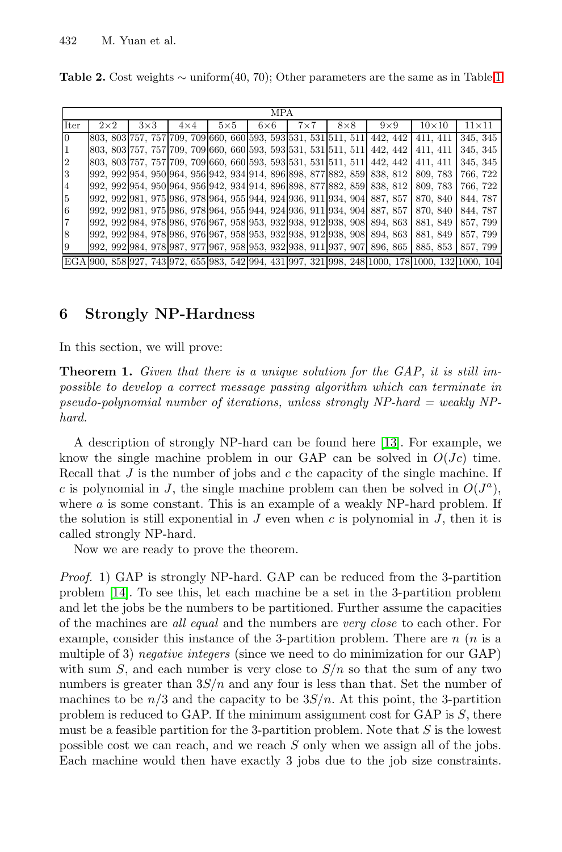<span id="page-9-0"></span>**Table 2.** Cost weights ∼ uniform(40, 70); Other parameters are the same as in Table 1

| MPA  |             |            |            |            |             |            |            |                                                                         |                                                                                                  |              |
|------|-------------|------------|------------|------------|-------------|------------|------------|-------------------------------------------------------------------------|--------------------------------------------------------------------------------------------------|--------------|
| Iter | $2\times 2$ | $3\times3$ | $4\times4$ | $5\times5$ | $6\times 6$ | $7\times7$ | $8\times8$ | $9\times9$                                                              | $10\times10$                                                                                     | $11\times11$ |
|      |             |            |            |            |             |            |            | 803, 803 757, 757 709, 709 660, 660 593, 593 531, 531 511, 511 442, 442 | 411, 411                                                                                         | 345, 345     |
|      |             |            |            |            |             |            |            | 803, 803 757, 757 709, 709 660, 660 593, 593 531, 531 511, 511 442, 442 | 411, 411                                                                                         | 345, 345     |
|      |             |            |            |            |             |            |            | 803, 803 757, 757 709, 709 660, 660 593, 593 531, 531 511, 511 442, 442 | 411, 411                                                                                         | 345, 345     |
|      |             |            |            |            |             |            |            | 992, 992 954, 950 964, 956 942, 934 914, 896 898, 877 882, 859 838, 812 | 809, 783                                                                                         | 766, 722     |
|      |             |            |            |            |             |            |            | 992, 992 954, 950 964, 956 942, 934 914, 896 898, 877 882, 859 838, 812 | 809, 783                                                                                         | 766, 722     |
|      |             |            |            |            |             |            |            | 992, 992 981, 975 986, 978 964, 955 944, 924 936, 911 934, 904 887, 857 | 870, 840                                                                                         | 844, 787     |
|      |             |            |            |            |             |            |            | 992, 992 981, 975 986, 978 964, 955 944, 924 936, 911 934, 904 887, 857 | 870, 840                                                                                         | 844, 787     |
|      |             |            |            |            |             |            |            | 992, 992 984, 978 986, 976 967, 958 953, 932 938, 912 938, 908 894, 863 | 881, 849                                                                                         | 857, 799     |
|      |             |            |            |            |             |            |            | 992, 992 984, 978 986, 976 967, 958 953, 932 938, 912 938, 908 894, 863 | 881, 849                                                                                         | 857, 799     |
|      |             |            |            |            |             |            |            | 992, 992 984, 978 987, 977 967, 958 953, 932 938, 911 937, 907 896, 865 | 885, 853                                                                                         | 857, 799     |
|      |             |            |            |            |             |            |            |                                                                         | EGA 900, 858 927, 743 972, 655 983, 542 994, 431 997, 321 998, 248 1000, 178 1000, 132 1000, 104 |              |

### **6 Strongly NP-Hardness**

In this section, we will prove:

**Theorem 1.** *Given that there is a unique solution for the GAP, it is still impossible to develop a correct message passing algorithm which can terminate in pseudo-polynomial number of iterations, unless strongly NP-hard = weakly NPhard.*

A description of strongly NP-hard can be found here [13]. For example, we know the single machine problem in our GAP can be solved in  $O(Jc)$  time. Recall that  $J$  is the number of jobs and  $c$  the capacity of the single machine. If c is polynomial in J, the single machine problem can then be solved in  $O(J^a)$ , where  $a$  is some constant. This is an example of a weakly NP-hard problem. If the solution is still exponential in  $J$  even when  $c$  is polynomial in  $J$ , then it is called strongly NP-hard.

Now we are ready to prove the theorem.

*Proof.* 1) GAP is strongly NP-hard. GAP can be reduced from the 3-partition problem [14]. To see this, let each machine be a set in the 3-partition problem and let the jobs be the numbers to be partitioned. Further assume the capacities of the machines are *all equal* and the numbers are *very close* to each other. For example, consider this instance of the 3-partition problem. There are  $n(n)$  is a multiple of 3) *negative integers* (since we need to do minimization for our GAP) with sum S, and each number is very close to  $S/n$  so that the sum of any two numbers is greater than  $3S/n$  and any four is less than that. Set the number of machines to be  $n/3$  and the capacity to be  $3S/n$ . At this point, the 3-partition problem is reduced to GAP. If the minimum assignment cost for GAP is S, there must be a feasible partition for the 3-partition problem. Note that  $S$  is the lowest possible cost we can reach, and we reach S only when we assign all of the jobs. Each machine would then have exactly 3 jobs due to the job size constraints.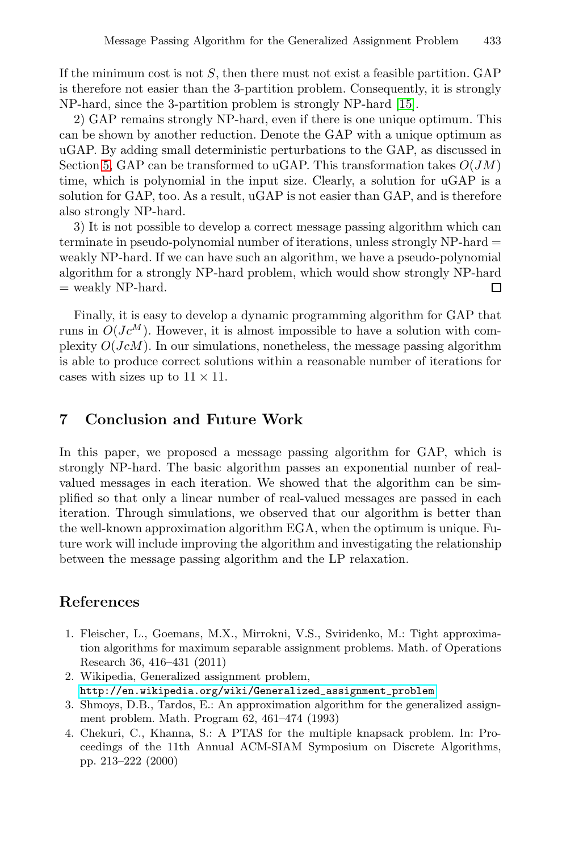If the minimum cost is not  $S$ , then there must not exist a feasible partition. GAP is therefore not easier than the 3-partition problem. Consequently, it is strongly NP-hard, since the 3-partition problem is strongly NP-hard [15].

2) GAP remains strongly NP-hard, even if there is one unique optimum. This can be shown by another reduction. Denote the GAP with a unique optimum as uGAP. By adding small deterministic perturbations to the GAP, as discussed in Section 5, GAP can be transformed to uGAP. This transformation takes  $O(JM)$ time, which is polynomial in the input size. Clearly, a solution for uGAP is a solution for GAP, too. As a result, uGAP is not easier than GAP, and is therefore also strongly NP-hard.

<span id="page-10-3"></span>3) It is not possible to develop a correct message passing algorithm which can terminate in pseudo-polynomial number of iterations, unless strongly NP-hard = weakly NP-hard. If we can have such an algorithm, we have a pseudo-polynomial algorithm for a strongly NP-hard problem, which would show strongly NP-hard  $=$  weakly NP-hard.  $\Box$ 

Finally, it is easy to develop a dynamic programming algorithm for GAP that runs in  $O(Jc<sup>M</sup>)$ . However, it is almost impossible to have a solution with complexity  $O(JcM)$ . In our simulations, nonetheless, the message passing algorithm is able to produce correct solutions within a reasonable number of iterations for cases with sizes up to  $11 \times 11$ .

## <span id="page-10-0"></span>**7 Conclusion and Future Work**

<span id="page-10-2"></span><span id="page-10-1"></span>In this paper, we proposed a message passing algorithm for GAP, which is strongly NP-hard. The basic algorithm passes an exponential number of realvalued messages in each iteration. We showed that the algorithm can be simplified so that only a linear number of real-valued messages are passed in each iteration. Through simulations, we observed that our algorithm is better than the well-known approximation algorithm EGA, when the optimum is unique. Future work will include improving the algorithm and investigating the relationship between the message passing algorithm and the LP relaxation.

# **References**

- 1. Fleischer, L., Goemans, M.X., Mirrokni, V.S., Sviridenko, M.: Tight approximation algorithms for maximum separable assignment problems. Math. of Operations Research 36, 416–431 (2011)
- 2. Wikipedia, Generalized assignment problem, http://en.wikipedia.org/wiki/Generalized\_assignment\_problem
- 3. Shmoys, D.B., Tardos, E.: An approximation algorithm for the generalized assignment problem. Math. Program 62, 461–474 (1993)
- 4. Chekuri, C., Khanna, S.: A PTAS for the multiple knapsack problem. In: Proceedings of the 11th Annual ACM-SIAM Symposium on Discrete Algorithms, pp. 213–222 (2000)